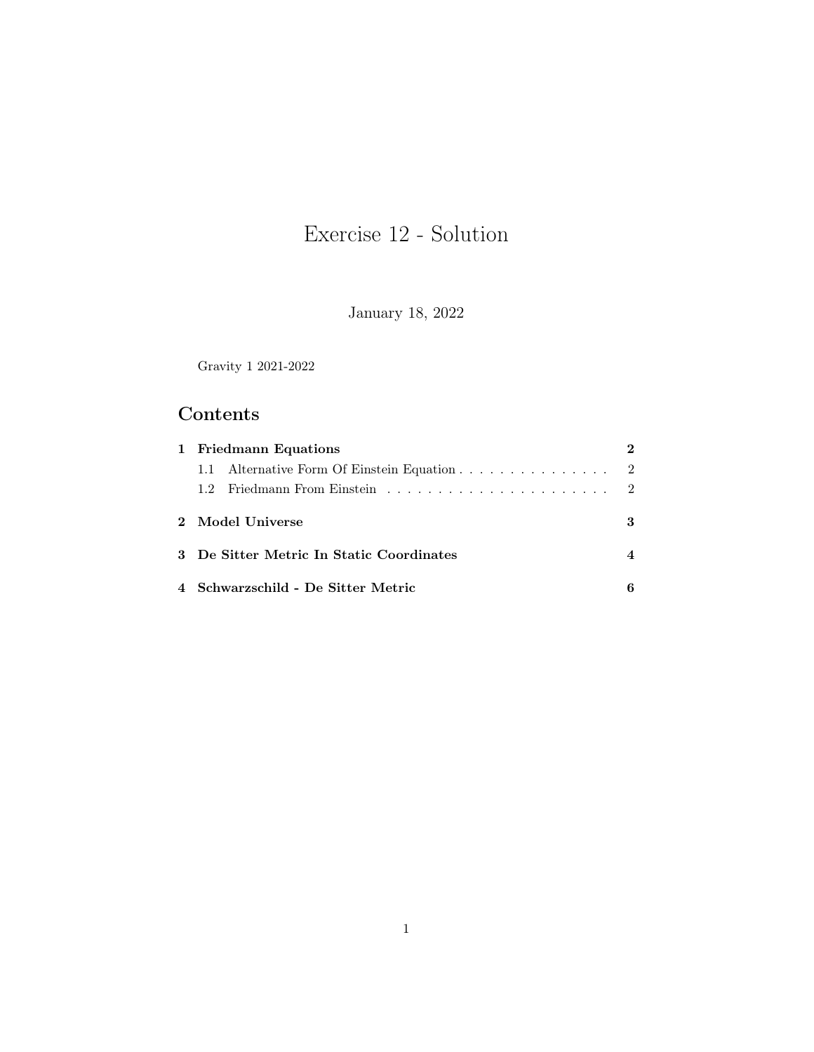# Exercise 12 - Solution

January 18, 2022

Gravity 1 2021-2022

## Contents

| 1 Friedmann Equations |                                             | 2 |
|-----------------------|---------------------------------------------|---|
|                       | 1.1 Alternative Form Of Einstein Equation 2 |   |
|                       |                                             |   |
| 2 Model Universe      |                                             | 3 |
|                       | 3 De Sitter Metric In Static Coordinates    | 4 |
|                       | 4 Schwarzschild - De Sitter Metric          |   |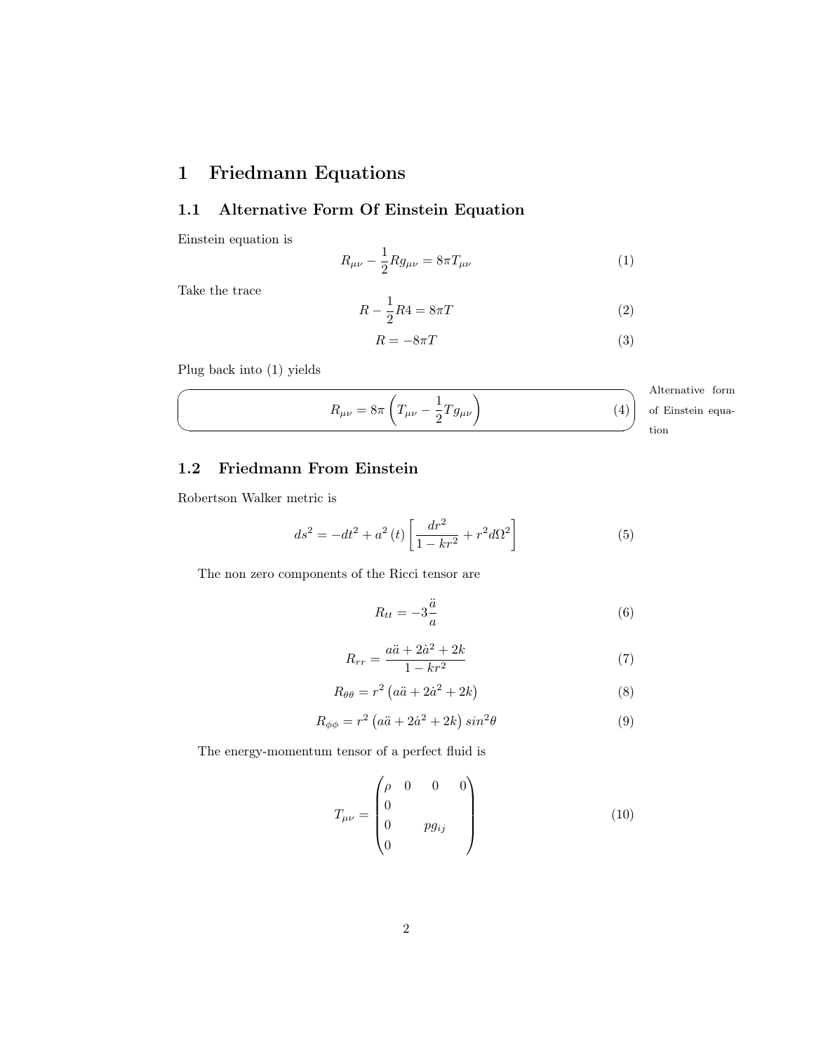## <span id="page-1-0"></span>1 Friedmann Equations

#### <span id="page-1-1"></span>1.1 Alternative Form Of Einstein Equation

Einstein equation is

<span id="page-1-3"></span>
$$
R_{\mu\nu} - \frac{1}{2} R g_{\mu\nu} = 8\pi T_{\mu\nu} \tag{1}
$$

Take the trace

 $\sqrt{2}$ 

✍

$$
R - \frac{1}{2}R4 = 8\pi T\tag{2}
$$

$$
R = -8\pi T \tag{3}
$$

Plug back into [\(1\)](#page-1-3) yields

<span id="page-1-6"></span>
$$
R_{\mu\nu} = 8\pi \left( T_{\mu\nu} - \frac{1}{2} T g_{\mu\nu} \right)
$$
 (4) After  
matrix  
tion

 $\Delta$  1+ ative form n equation

#### <span id="page-1-2"></span>1.2 Friedmann From Einstein

Robertson Walker metric is

$$
ds^{2} = -dt^{2} + a^{2}(t) \left[ \frac{dr^{2}}{1 - kr^{2}} + r^{2} d\Omega^{2} \right]
$$
 (5)

The non zero components of the Ricci tensor are

<span id="page-1-4"></span>
$$
R_{tt} = -3\frac{\ddot{a}}{a} \tag{6}
$$

<span id="page-1-7"></span>
$$
R_{rr} = \frac{a\ddot{a} + 2\dot{a}^2 + 2k}{1 - kr^2} \tag{7}
$$

$$
R_{\theta\theta} = r^2 \left( a\ddot{a} + 2\dot{a}^2 + 2k \right) \tag{8}
$$

$$
R_{\phi\phi} = r^2 \left( a\ddot{a} + 2\dot{a}^2 + 2k \right) \sin^2\theta \tag{9}
$$

The energy-momentum tensor of a perfect fluid is

<span id="page-1-5"></span>
$$
T_{\mu\nu} = \begin{pmatrix} \rho & 0 & 0 & 0 \\ 0 & & & \\ 0 & & pg_{ij} & \\ 0 & & & \end{pmatrix}
$$
 (10)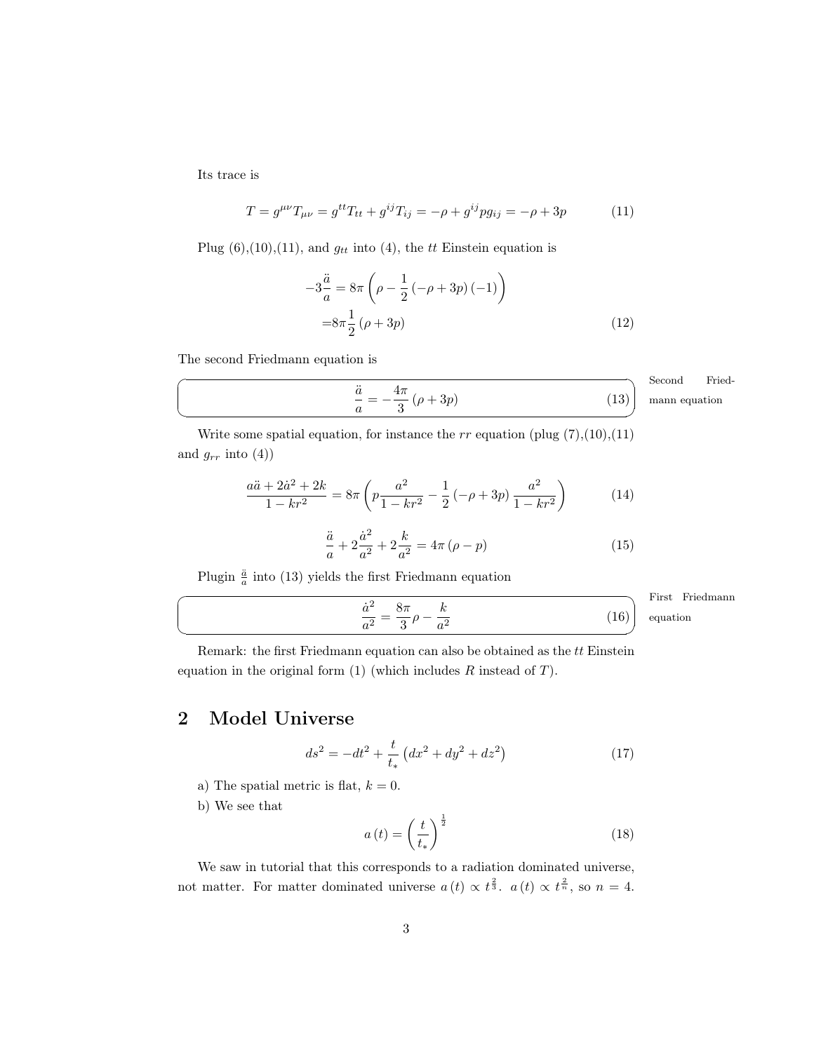Its trace is

 $\overline{C}$ 

 $\searrow$ 

 $\overline{a}$ 

 $\searrow$ 

<span id="page-2-1"></span>
$$
T = g^{\mu\nu} T_{\mu\nu} = g^{tt} T_{tt} + g^{ij} T_{ij} = -\rho + g^{ij} p g_{ij} = -\rho + 3p \tag{11}
$$

Plug  $(6)$ , $(10)$ , $(11)$ , and  $g_{tt}$  into  $(4)$ , the tt Einstein equation is

$$
-3\frac{\ddot{a}}{a} = 8\pi \left(\rho - \frac{1}{2} \left(-\rho + 3p\right)\left(-1\right)\right)
$$

$$
= 8\pi \frac{1}{2} \left(\rho + 3p\right) \tag{12}
$$

The second Friedmann equation is

$$
\frac{4\pi}{3} (\rho + 3p) \qquad (13)
$$
 Second Friedman equation

Write some spatial equation, for instance the  $rr$  equation (plug  $(7),(10),(11)$  $(7),(10),(11)$  $(7),(10),(11)$  $(7),(10),(11)$  $(7),(10),(11)$ ) and  $g_{rr}$  into  $(4)$ )

$$
\frac{a\ddot{a} + 2\dot{a}^2 + 2k}{1 - kr^2} = 8\pi \left( p\frac{a^2}{1 - kr^2} - \frac{1}{2} \left( -\rho + 3p \right) \frac{a^2}{1 - kr^2} \right) \tag{14}
$$

$$
\frac{\ddot{a}}{a} + 2\frac{\dot{a}^2}{a^2} + 2\frac{k}{a^2} = 4\pi\left(\rho - p\right)
$$
 (15)

Plugin  $\frac{\ddot{a}}{a}$  into [\(13\)](#page-2-2) yields the first Friedmann equation

<span id="page-2-2"></span>a¨  $\frac{\ddot{a}}{a} = -\frac{4\pi}{3}$ 

$$
\frac{\dot{a}^2}{a^2} = \frac{8\pi}{3}\rho - \frac{k}{a^2}
$$
 First Friedman  
equation  
(16)

Remark: the first Friedmann equation can also be obtained as the tt Einstein equation in the original form  $(1)$  (which includes  $R$  instead of  $T$ ).

## <span id="page-2-0"></span>2 Model Universe

$$
ds^{2} = -dt^{2} + \frac{t}{t_{*}} \left( dx^{2} + dy^{2} + dz^{2} \right)
$$
 (17)

a) The spatial metric is flat,  $k = 0$ .

b) We see that

<span id="page-2-3"></span>
$$
a(t) = \left(\frac{t}{t_*}\right)^{\frac{1}{2}}\tag{18}
$$

We saw in tutorial that this corresponds to a radiation dominated universe, not matter. For matter dominated universe  $a(t) \propto t^{\frac{2}{3}}$ .  $a(t) \propto t^{\frac{2}{n}}$ , so  $n = 4$ .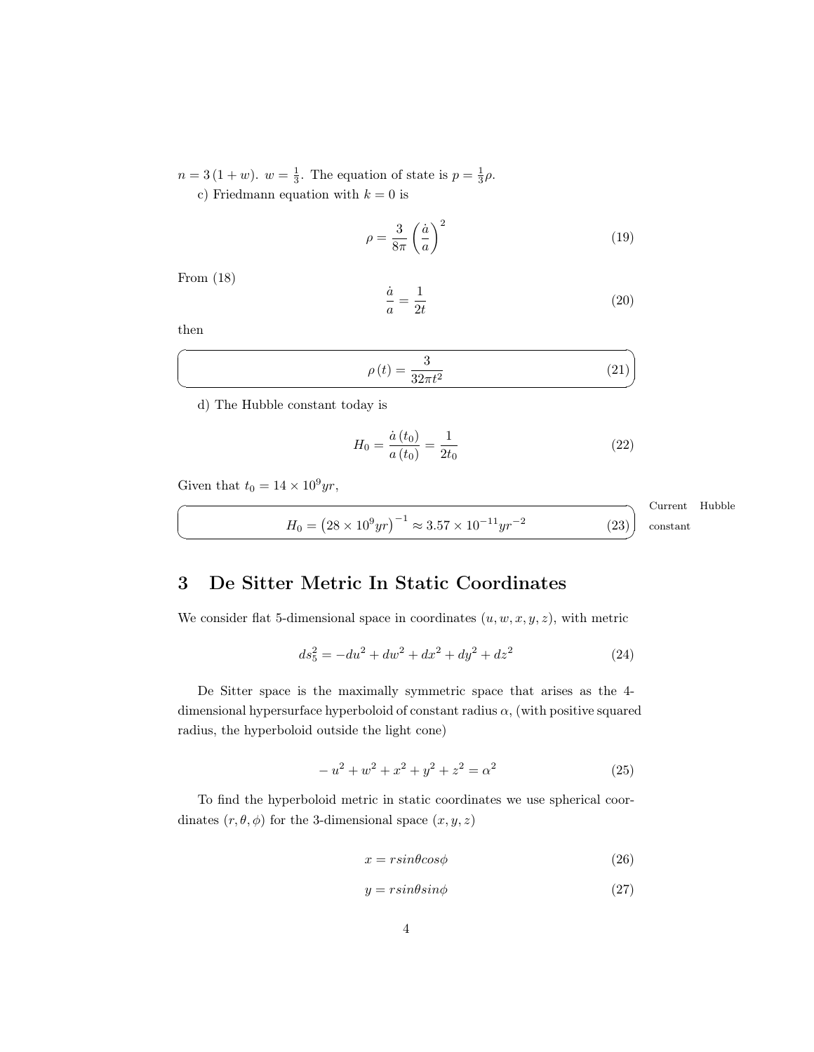$n=3(1+w)$ .  $w=\frac{1}{3}$ . The equation of state is  $p=\frac{1}{3}\rho$ . c) Friedmann equation with  $k = 0$  is

$$
\rho = \frac{3}{8\pi} \left(\frac{\dot{a}}{a}\right)^2 \tag{19}
$$

From [\(18\)](#page-2-3)

$$
\frac{\dot{a}}{a} = \frac{1}{2t} \tag{20}
$$

then  $\overline{a}$ 

 $\searrow$ 

☛

 $\searrow$ 

$$
\rho(t) = \frac{3}{32\pi t^2} \tag{21}
$$

d) The Hubble constant today is

$$
H_0 = \frac{\dot{a}(t_0)}{a(t_0)} = \frac{1}{2t_0} \tag{22}
$$

Given that  $t_0 = 14 \times 10^9 yr$ ,

$$
H_0 = \left(28 \times 10^9 \text{yr}\right)^{-1} \approx 3.57 \times 10^{-11} \text{yr}^{-2}
$$
   
Current Hubble constant (23) constant

### <span id="page-3-0"></span>3 De Sitter Metric In Static Coordinates

We consider flat 5-dimensional space in coordinates  $(u, w, x, y, z)$ , with metric

<span id="page-3-4"></span>
$$
ds_5^2 = -du^2 + dw^2 + dx^2 + dy^2 + dz^2
$$
 (24)

De Sitter space is the maximally symmetric space that arises as the 4 dimensional hypersurface hyperboloid of constant radius  $\alpha$ , (with positive squared radius, the hyperboloid outside the light cone)

<span id="page-3-1"></span>
$$
-u^{2} + w^{2} + x^{2} + y^{2} + z^{2} = \alpha^{2}
$$
\n(25)

To find the hyperboloid metric in static coordinates we use spherical coordinates  $(r, \theta, \phi)$  for the 3-dimensional space  $(x, y, z)$ 

<span id="page-3-2"></span>
$$
x = r \sin \theta \cos \phi \tag{26}
$$

<span id="page-3-3"></span>
$$
y = r \sin \theta \sin \phi \tag{27}
$$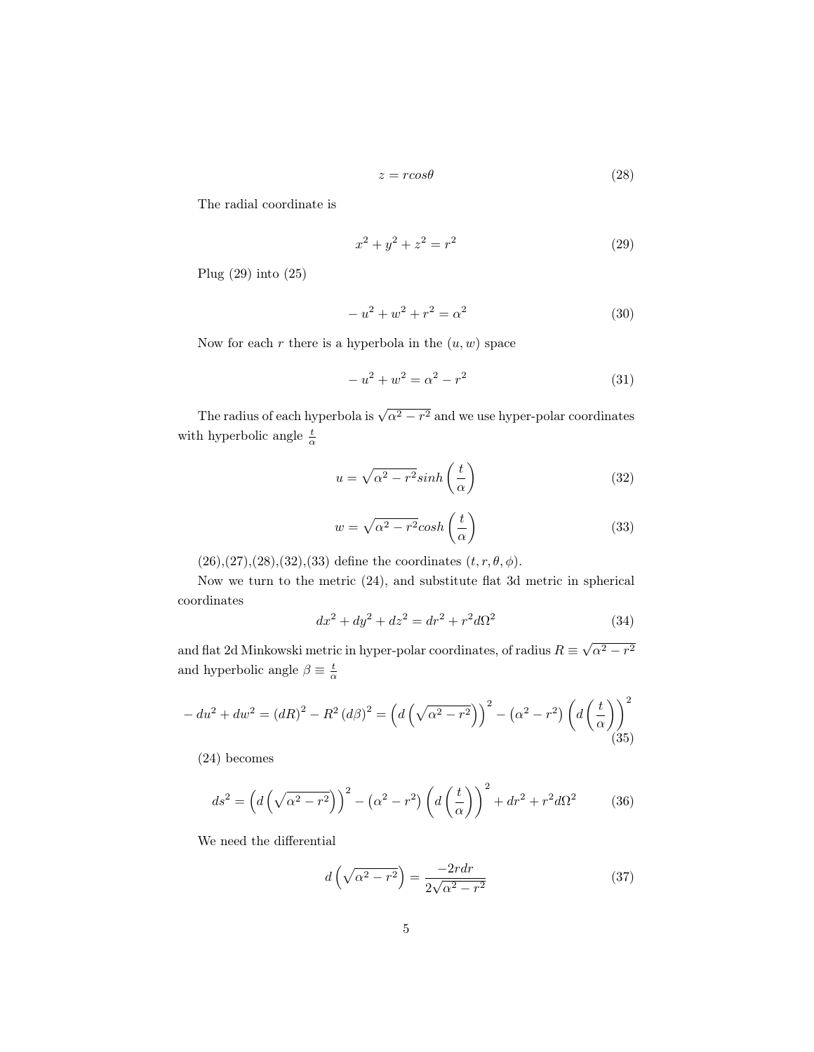<span id="page-4-1"></span>
$$
z = r \cos \theta \tag{28}
$$

The radial coordinate is

<span id="page-4-0"></span>
$$
x^2 + y^2 + z^2 = r^2 \tag{29}
$$

Plug [\(29\)](#page-4-0) into [\(25\)](#page-3-1)

$$
-u^2 + w^2 + r^2 = \alpha^2 \tag{30}
$$

Now for each r there is a hyperbola in the  $(u, w)$  space

$$
-u^2 + w^2 = \alpha^2 - r^2 \tag{31}
$$

The radius of each hyperbola is  $\sqrt{\alpha^2-r^2}$  and we use hyper-polar coordinates with hyperbolic angle  $\frac{t}{\alpha}$ 

<span id="page-4-2"></span>
$$
u = \sqrt{\alpha^2 - r^2} \sinh\left(\frac{t}{\alpha}\right) \tag{32}
$$

<span id="page-4-3"></span>
$$
w = \sqrt{\alpha^2 - r^2} \cosh\left(\frac{t}{\alpha}\right) \tag{33}
$$

 $(26),(27),(28),(32),(33)$  $(26),(27),(28),(32),(33)$  $(26),(27),(28),(32),(33)$  $(26),(27),(28),(32),(33)$  $(26),(27),(28),(32),(33)$  $(26),(27),(28),(32),(33)$  $(26),(27),(28),(32),(33)$  $(26),(27),(28),(32),(33)$  $(26),(27),(28),(32),(33)$  define the coordinates  $(t, r, \theta, \phi)$ .

Now we turn to the metric [\(24\)](#page-3-4), and substitute flat 3d metric in spherical coordinates

$$
dx^{2} + dy^{2} + dz^{2} = dr^{2} + r^{2}d\Omega^{2}
$$
 (34)

and flat 2d Minkowski metric in hyper-polar coordinates, of radius  $R \equiv$  $\sqrt{\alpha^2-r^2}$ and hyperbolic angle  $\beta \equiv \frac{t}{\alpha}$ 

$$
-du^{2} + dw^{2} = (dR)^{2} - R^{2} (d\beta)^{2} = \left(d\left(\sqrt{\alpha^{2} - r^{2}}\right)\right)^{2} - \left(\alpha^{2} - r^{2}\right)\left(d\left(\frac{t}{\alpha}\right)\right)^{2}
$$
\n(35)

[\(24\)](#page-3-4) becomes

<span id="page-4-4"></span>
$$
ds^{2} = \left(d\left(\sqrt{\alpha^{2}-r^{2}}\right)\right)^{2} - \left(\alpha^{2}-r^{2}\right)\left(d\left(\frac{t}{\alpha}\right)\right)^{2} + dr^{2} + r^{2}d\Omega^{2}
$$
 (36)

We need the differential

$$
d\left(\sqrt{\alpha^2 - r^2}\right) = \frac{-2rdr}{2\sqrt{\alpha^2 - r^2}}\tag{37}
$$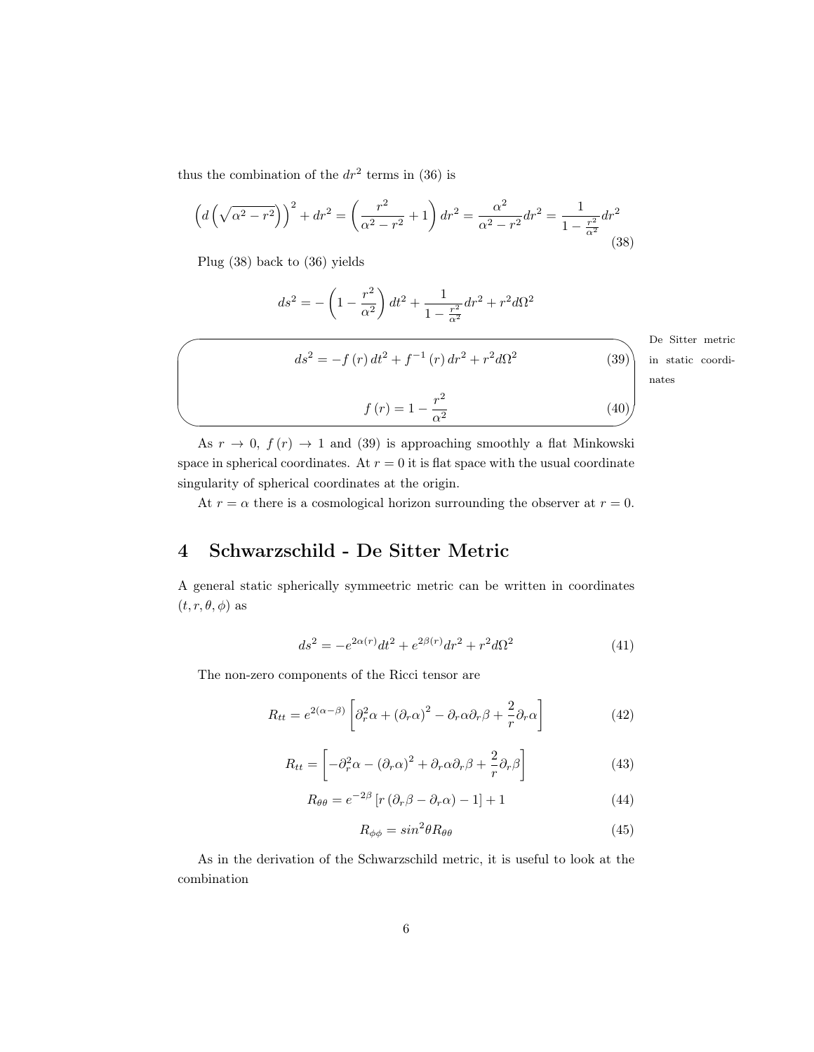thus the combination of the  $dr^2$  terms in [\(36\)](#page-4-4) is

<span id="page-5-1"></span>
$$
\left(d\left(\sqrt{\alpha^2 - r^2}\right)\right)^2 + dr^2 = \left(\frac{r^2}{\alpha^2 - r^2} + 1\right)dr^2 = \frac{\alpha^2}{\alpha^2 - r^2}dr^2 = \frac{1}{1 - \frac{r^2}{\alpha^2}}dr^2\tag{38}
$$

Plug [\(38\)](#page-5-1) back to [\(36\)](#page-4-4) yields

 $\overline{\phantom{a}}$ 

$$
ds^{2} = -\left(1 - \frac{r^{2}}{\alpha^{2}}\right)dt^{2} + \frac{1}{1 - \frac{r^{2}}{\alpha^{2}}}dr^{2} + r^{2}d\Omega^{2}
$$

<span id="page-5-2"></span> $ds^{2} = -f(r) dt^{2} + f^{-1}(r) dr^{2} + r^{2} d\Omega^{2}$ 

De Sitter metric in static coordinates

(39)

$$
f(r) = 1 - \frac{r^2}{\alpha^2}
$$
 (40)

As  $r \to 0$ ,  $f(r) \to 1$  and [\(39\)](#page-5-2) is approaching smoothly a flat Minkowski space in spherical coordinates. At  $r = 0$  it is flat space with the usual coordinate singularity of spherical coordinates at the origin.

At  $r = \alpha$  there is a cosmological horizon surrounding the observer at  $r = 0$ .

## <span id="page-5-0"></span>4 Schwarzschild - De Sitter Metric

A general static spherically symmeetric metric can be written in coordinates  $(t, r, \theta, \phi)$  as

<span id="page-5-3"></span>
$$
ds^{2} = -e^{2\alpha(r)}dt^{2} + e^{2\beta(r)}dr^{2} + r^{2}d\Omega^{2}
$$
\n(41)

The non-zero components of the Ricci tensor are

$$
R_{tt} = e^{2(\alpha - \beta)} \left[ \partial_r^2 \alpha + (\partial_r \alpha)^2 - \partial_r \alpha \partial_r \beta + \frac{2}{r} \partial_r \alpha \right]
$$
 (42)

$$
R_{tt} = \left[ -\partial_r^2 \alpha - (\partial_r \alpha)^2 + \partial_r \alpha \partial_r \beta + \frac{2}{r} \partial_r \beta \right]
$$
(43)

<span id="page-5-4"></span>
$$
R_{\theta\theta} = e^{-2\beta} \left[ r \left( \partial_r \beta - \partial_r \alpha \right) - 1 \right] + 1 \tag{44}
$$

$$
R_{\phi\phi} = \sin^2\theta R_{\theta\theta} \tag{45}
$$

As in the derivation of the Schwarzschild metric, it is useful to look at the combination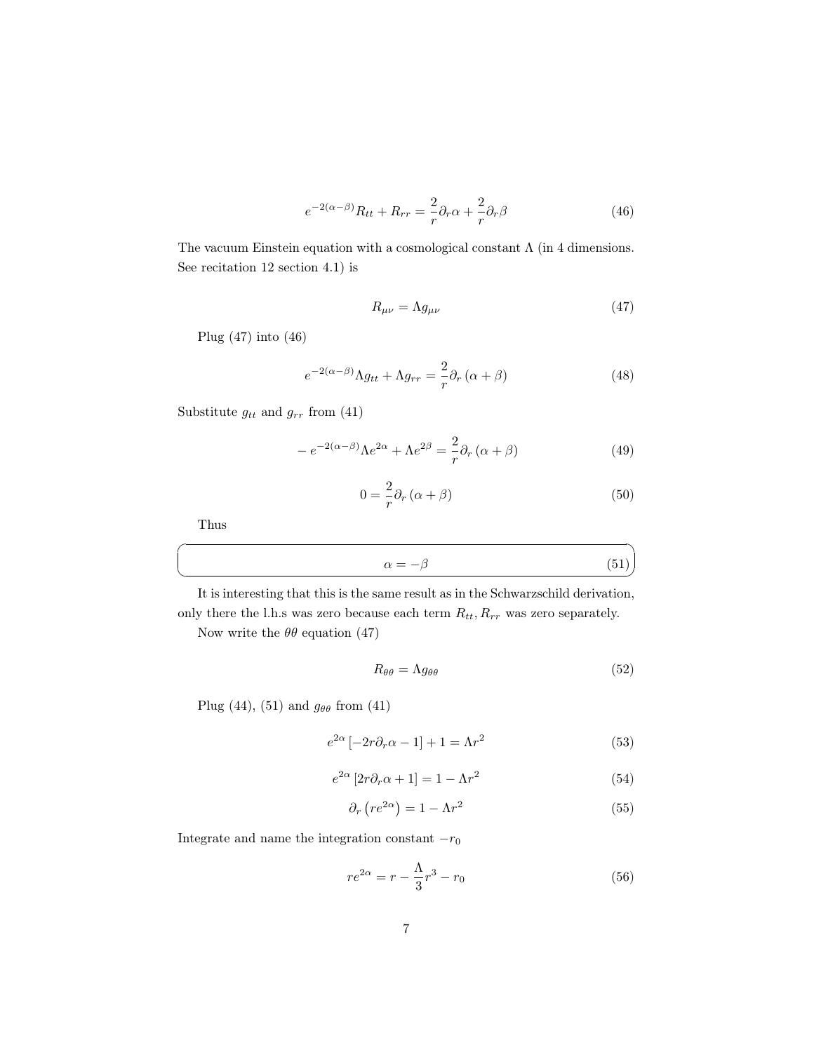$$
e^{-2(\alpha-\beta)}R_{tt} + R_{rr} = \frac{2}{r}\partial_r\alpha + \frac{2}{r}\partial_r\beta\tag{46}
$$

The vacuum Einstein equation with a cosmological constant  $\Lambda$  (in 4 dimensions. See recitation 12 section 4.1) is

<span id="page-6-1"></span><span id="page-6-0"></span>
$$
R_{\mu\nu} = \Lambda g_{\mu\nu} \tag{47}
$$

Plug [\(47\)](#page-6-0) into [\(46\)](#page-6-1)

$$
e^{-2(\alpha-\beta)}\Lambda g_{tt} + \Lambda g_{rr} = \frac{2}{r}\partial_r(\alpha+\beta)
$$
 (48)

Substitute  $g_{tt}$  and  $g_{rr}$  from [\(41\)](#page-5-3)

$$
-e^{-2(\alpha-\beta)}\Lambda e^{2\alpha} + \Lambda e^{2\beta} = -\frac{2}{r}\partial_r(\alpha+\beta)
$$
 (49)

<span id="page-6-2"></span>
$$
0 = \frac{2}{r}\partial_r(\alpha + \beta) \tag{50}
$$

✟

Thus

☛

 $\searrow$ 

$$
\alpha = -\beta \tag{51}
$$

It is interesting that this is the same result as in the Schwarzschild derivation, only there the l.h.s was zero because each term  $R_{tt}, R_{rr}$  was zero separately.

Now write the  $\theta\theta$  equation [\(47\)](#page-6-0)

$$
R_{\theta\theta} = \Lambda g_{\theta\theta} \tag{52}
$$

Plug [\(44\)](#page-5-4), [\(51\)](#page-6-2) and  $g_{\theta\theta}$  from [\(41\)](#page-5-3)

$$
e^{2\alpha} \left[ -2r\partial_r \alpha - 1 \right] + 1 = \Lambda r^2 \tag{53}
$$

$$
e^{2\alpha} \left[ 2r \partial_r \alpha + 1 \right] = 1 - \Lambda r^2 \tag{54}
$$

$$
\partial_r \left( r e^{2\alpha} \right) = 1 - \Lambda r^2 \tag{55}
$$

Integrate and name the integration constant  $-r_0$ 

$$
re^{2\alpha} = r - \frac{\Lambda}{3}r^3 - r_0\tag{56}
$$